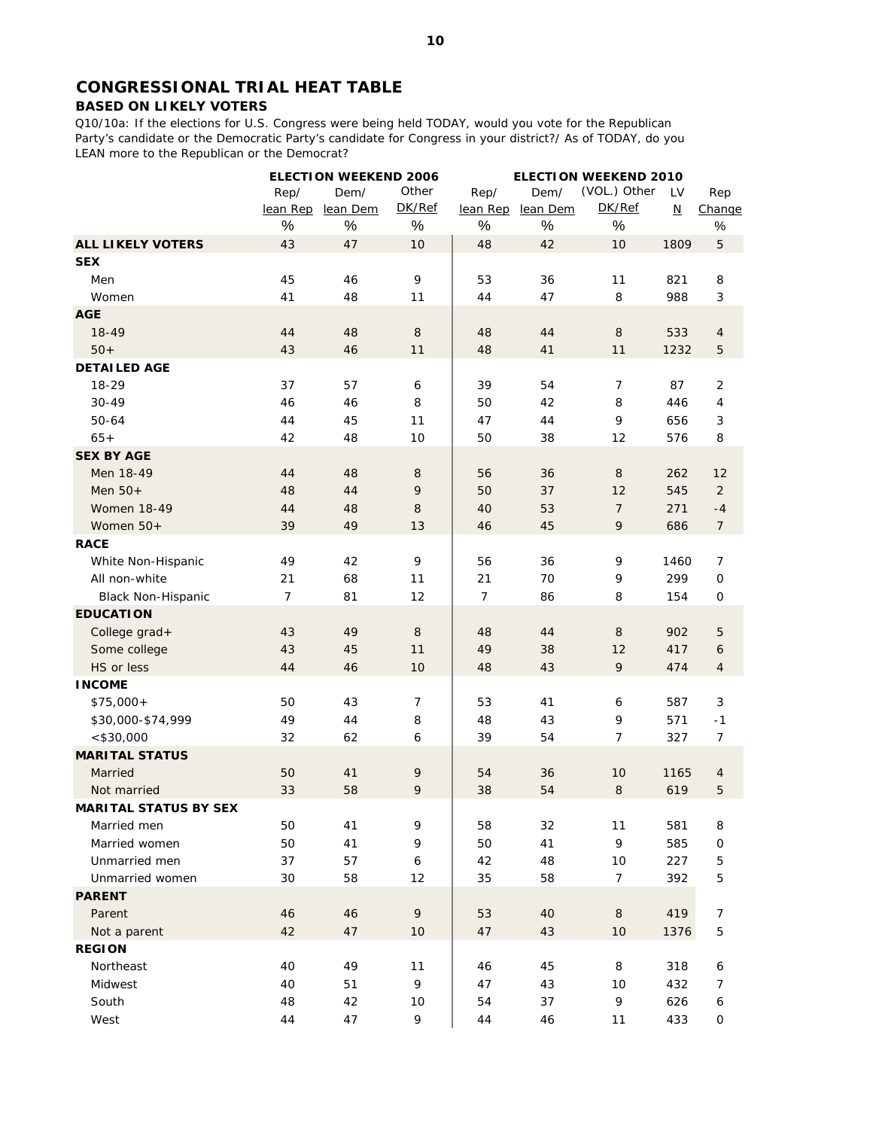# **CONGRESSIONAL TRIAL HEAT TABLE**

## **BASED ON LIKELY VOTERS**

Q10/10a: If the elections for U.S. Congress were being held TODAY, would you vote for the Republican Party's candidate or the Democratic Party's candidate for Congress in your district?/ As of TODAY, do you LEAN more to the Republican or the Democrat?

|                              |                | <b>ELECTION WEEKEND 2006</b> |                  | <b>ELECTION WEEKEND 2010</b> |          |                |                          |                     |
|------------------------------|----------------|------------------------------|------------------|------------------------------|----------|----------------|--------------------------|---------------------|
|                              | Rep/           | Dem/                         | Other            | Rep/                         | Dem/     | (VOL.) Other   | LV                       | Rep                 |
|                              | lean Rep       | lean Dem                     | DK/Ref           | lean Rep                     | lean Dem | DK/Ref         | $\underline{\mathsf{N}}$ | Change              |
|                              | $\%$           | $\%$                         | $\%$             | $\%$                         | $\%$     | $\%$           |                          | $\%$                |
| <b>ALL LIKELY VOTERS</b>     | 43             | 47                           | 10               | 48                           | 42       | 10             | 1809                     | $\mathbf 5$         |
| <b>SEX</b>                   |                |                              |                  |                              |          |                |                          |                     |
| Men                          | 45             | 46                           | 9                | 53                           | 36       | 11             | 821                      | 8                   |
| Women                        | 41             | 48                           | 11               | 44                           | 47       | 8              | 988                      | 3                   |
| <b>AGE</b>                   |                |                              |                  |                              |          |                |                          |                     |
| 18-49                        | 44             | 48                           | 8                | 48                           | 44       | 8              | 533                      | 4                   |
| $50+$                        | 43             | 46                           | 11               | 48                           | 41       | 11             | 1232                     | 5                   |
| <b>DETAILED AGE</b>          |                |                              |                  |                              |          |                |                          |                     |
| 18-29                        | 37             | 57                           | 6                | 39                           | 54       | 7              | 87                       | 2                   |
| $30 - 49$                    | 46             | 46                           | 8                | 50                           | 42       | 8              | 446                      | 4                   |
| 50-64                        | 44             | 45                           | 11               | 47                           | 44       | 9              | 656                      | 3                   |
| $65+$                        | 42             | 48                           | 10               | 50                           | 38       | 12             | 576                      | 8                   |
| <b>SEX BY AGE</b>            |                |                              |                  |                              |          |                |                          |                     |
| Men 18-49                    | 44             | 48                           | 8                | 56                           | 36       | 8              | 262                      | 12                  |
| Men $50+$                    | 48             | 44                           | 9                | 50                           | 37       | 12             | 545                      | $\overline{2}$      |
| <b>Women 18-49</b>           | 44             | 48                           | 8                | 40                           | 53       | $\overline{7}$ | 271                      | $-4$                |
| Women 50+                    | 39             | 49                           | 13               | 46                           | 45       | 9              | 686                      | $\overline{7}$      |
| <b>RACE</b>                  |                |                              |                  |                              |          |                |                          |                     |
| White Non-Hispanic           | 49             | 42                           | 9                | 56                           | 36       | 9              | 1460                     | 7                   |
| All non-white                | 21             | 68                           | 11               | 21                           | 70       | 9              | 299                      | $\mathsf{O}\xspace$ |
| <b>Black Non-Hispanic</b>    | $\overline{7}$ | 81                           | 12               | $\overline{7}$               | 86       | 8              | 154                      | 0                   |
| <b>EDUCATION</b>             |                |                              |                  |                              |          |                |                          |                     |
| College grad+                | 43             | 49                           | 8                | 48                           | 44       | 8              | 902                      | 5                   |
| Some college                 | 43             | 45                           | 11               | 49                           | 38       | 12             | 417                      | 6                   |
| HS or less                   | 44             | 46                           | 10               | 48                           | 43       | 9              | 474                      | 4                   |
| <b>INCOME</b>                |                |                              |                  |                              |          |                |                          |                     |
| $$75,000+$                   | 50             | 43                           | 7                | 53                           | 41       | 6              | 587                      | 3                   |
| \$30,000-\$74,999            | 49             | 44                           | 8                | 48                           | 43       | 9              | 571                      | $-1$                |
| $<$ \$30,000                 | 32             | 62                           | 6                | 39                           | 54       | 7              | 327                      | 7                   |
| <b>MARITAL STATUS</b>        |                |                              |                  |                              |          |                |                          |                     |
| Married                      | 50             | 41                           | 9                | 54                           | 36       | 10             | 1165                     | 4                   |
| Not married                  | 33             | 58                           | 9                | 38                           | 54       | $\,8\,$        | 619                      | 5                   |
| <b>MARITAL STATUS BY SEX</b> |                |                              |                  |                              |          |                |                          |                     |
| Married men                  | 50             | 41                           | 9                | 58                           | 32       | 11             | 581                      | 8                   |
| Married women                | 50             | 41                           | 9                | 50                           | 41       | 9              | 585                      | $\mathbf 0$         |
| Unmarried men                | 37             | 57                           | $\boldsymbol{6}$ | 42                           | 48       | 10             | 227                      | 5                   |
| Unmarried women              | 30             | 58                           | 12               | 35                           | 58       | $\overline{7}$ | 392                      | 5                   |
| <b>PARENT</b>                |                |                              |                  |                              |          |                |                          |                     |
| Parent                       | 46             | 46                           | 9                | 53                           | 40       | $\,8\,$        | 419                      | 7                   |
| Not a parent                 | 42             | 47                           | 10               | 47                           | 43       | 10             | 1376                     | $\mathbf 5$         |
| <b>REGION</b>                |                |                              |                  |                              |          |                |                          |                     |
| Northeast                    | 40             | 49                           | 11               | 46                           | 45       | 8              | 318                      | 6                   |
| Midwest                      | 40             | 51                           | 9                | 47                           | 43       | 10             | 432                      | 7                   |
| South                        | 48             | 42                           | 10               | 54                           | 37       | 9              | 626                      | 6                   |
| West                         | 44             | 47                           | 9                | 44                           | 46       | 11             | 433                      | 0                   |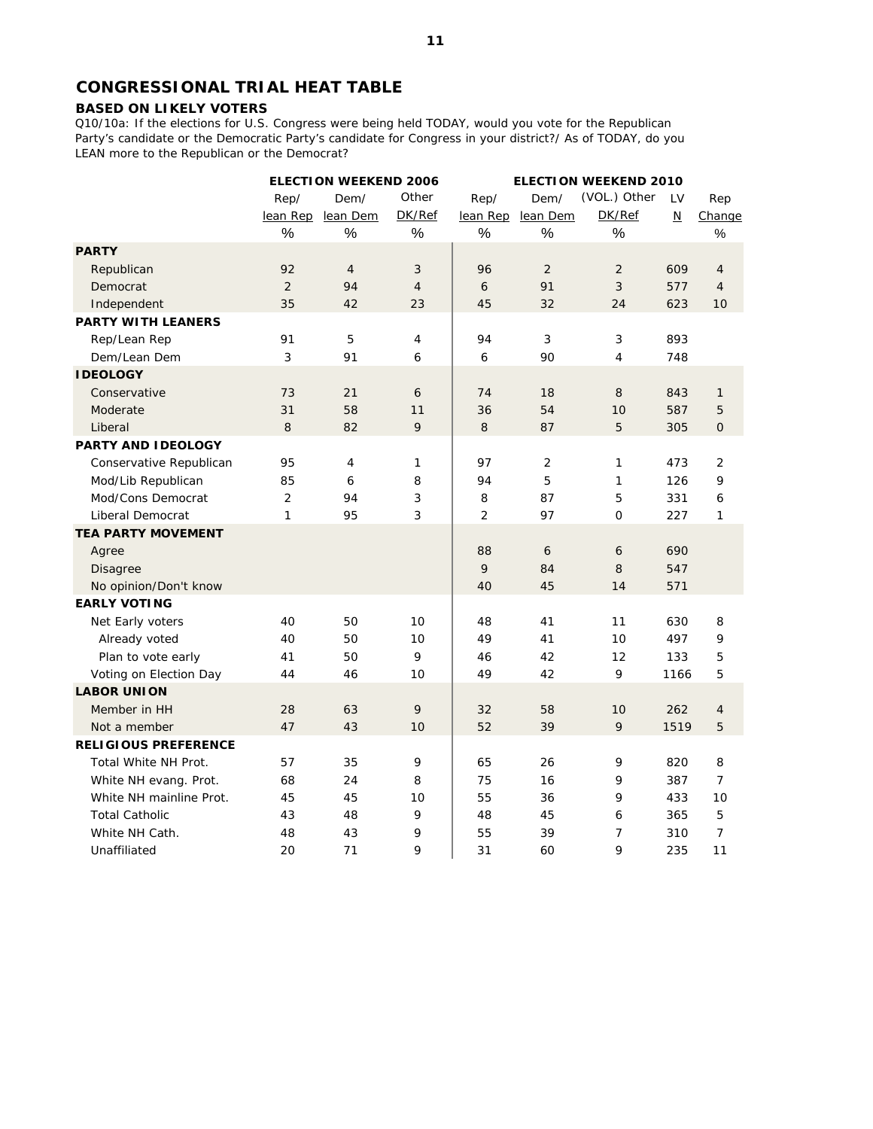# **CONGRESSIONAL TRIAL HEAT TABLE**

#### **BASED ON LIKELY VOTERS**

Q10/10a: If the elections for U.S. Congress were being held TODAY, would you vote for the Republican Party's candidate or the Democratic Party's candidate for Congress in your district?/ As of TODAY, do you LEAN more to the Republican or the Democrat?

|                             | <b>ELECTION WEEKEND 2006</b> |                |                | <b>ELECTION WEEKEND 2010</b> |                |                |                          |                |  |
|-----------------------------|------------------------------|----------------|----------------|------------------------------|----------------|----------------|--------------------------|----------------|--|
|                             | Rep/                         | Dem/           | Other          | Rep/                         | Dem/           | (VOL.) Other   | LV                       | Rep            |  |
|                             | lean Rep                     | lean Dem       | DK/Ref         | lean Rep                     | lean Dem       | DK/Ref         | $\underline{\mathsf{N}}$ | Change         |  |
|                             | %                            | $\%$           | $\%$           | $\%$                         | $\%$           | $\%$           |                          | $\%$           |  |
| <b>PARTY</b>                |                              |                |                |                              |                |                |                          |                |  |
| Republican                  | 92                           | $\overline{4}$ | 3              | 96                           | 2              | 2              | 609                      | $\overline{4}$ |  |
| Democrat                    | $\overline{2}$               | 94             | $\overline{4}$ | 6                            | 91             | 3              | 577                      | $\overline{4}$ |  |
| Independent                 | 35                           | 42             | 23             | 45                           | 32             | 24             | 623                      | 10             |  |
| <b>PARTY WITH LEANERS</b>   |                              |                |                |                              |                |                |                          |                |  |
| Rep/Lean Rep                | 91                           | 5              | $\overline{4}$ | 94                           | 3              | 3              | 893                      |                |  |
| Dem/Lean Dem                | 3                            | 91             | 6              | 6                            | 90             | $\overline{4}$ | 748                      |                |  |
| <b>IDEOLOGY</b>             |                              |                |                |                              |                |                |                          |                |  |
| Conservative                | 73                           | 21             | 6              | 74                           | 18             | 8              | 843                      | 1              |  |
| Moderate                    | 31                           | 58             | 11             | 36                           | 54             | 10             | 587                      | 5              |  |
| Liberal                     | 8                            | 82             | $\mathsf{Q}$   | 8                            | 87             | 5              | 305                      | $\mathbf 0$    |  |
| <b>PARTY AND IDEOLOGY</b>   |                              |                |                |                              |                |                |                          |                |  |
| Conservative Republican     | 95                           | 4              | 1              | 97                           | $\overline{2}$ | $\mathbf{1}$   | 473                      | 2              |  |
| Mod/Lib Republican          | 85                           | 6              | 8              | 94                           | 5              | 1              | 126                      | 9              |  |
| Mod/Cons Democrat           | 2                            | 94             | 3              | 8                            | 87             | 5              | 331                      | 6              |  |
| Liberal Democrat            | 1                            | 95             | 3              | $\overline{2}$               | 97             | $\mathbf{O}$   | 227                      | 1              |  |
| <b>TEA PARTY MOVEMENT</b>   |                              |                |                |                              |                |                |                          |                |  |
| Agree                       |                              |                |                | 88                           | 6              | 6              | 690                      |                |  |
| Disagree                    |                              |                |                | 9                            | 84             | 8              | 547                      |                |  |
| No opinion/Don't know       |                              |                |                | 40                           | 45             | 14             | 571                      |                |  |
| <b>EARLY VOTING</b>         |                              |                |                |                              |                |                |                          |                |  |
| Net Early voters            | 40                           | 50             | 10             | 48                           | 41             | 11             | 630                      | 8              |  |
| Already voted               | 40                           | 50             | 10             | 49                           | 41             | 10             | 497                      | 9              |  |
| Plan to vote early          | 41                           | 50             | 9              | 46                           | 42             | 12             | 133                      | 5              |  |
| Voting on Election Day      | 44                           | 46             | 10             | 49                           | 42             | 9              | 1166                     | 5              |  |
| <b>LABOR UNION</b>          |                              |                |                |                              |                |                |                          |                |  |
| Member in HH                | 28                           | 63             | 9              | 32                           | 58             | 10             | 262                      | $\overline{4}$ |  |
| Not a member                | 47                           | 43             | 10             | 52                           | 39             | 9              | 1519                     | 5              |  |
| <b>RELIGIOUS PREFERENCE</b> |                              |                |                |                              |                |                |                          |                |  |
| Total White NH Prot.        | 57                           | 35             | 9              | 65                           | 26             | 9              | 820                      | 8              |  |
| White NH evang. Prot.       | 68                           | 24             | 8              | 75                           | 16             | 9              | 387                      | $\overline{7}$ |  |
| White NH mainline Prot.     | 45                           | 45             | 10             | 55                           | 36             | 9              | 433                      | 10             |  |
| <b>Total Catholic</b>       | 43                           | 48             | 9              | 48                           | 45             | 6              | 365                      | 5              |  |
| White NH Cath.              | 48                           | 43             | 9              | 55                           | 39             | 7              | 310                      | $\overline{7}$ |  |
| Unaffiliated                | 20                           | 71             | 9              | 31                           | 60             | 9              | 235                      | 11             |  |